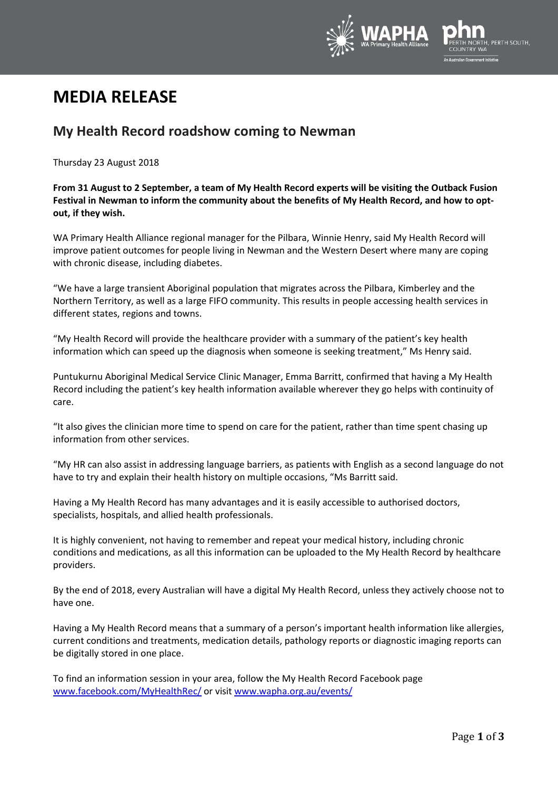

## **MEDIA RELEASE**

## **My Health Record roadshow coming to Newman**

Thursday 23 August 2018

## **From 31 August to 2 September, a team of My Health Record experts will be visiting the Outback Fusion Festival in Newman to inform the community about the benefits of My Health Record, and how to optout, if they wish.**

WA Primary Health Alliance regional manager for the Pilbara, Winnie Henry, said My Health Record will improve patient outcomes for people living in Newman and the Western Desert where many are coping with chronic disease, including diabetes.

"We have a large transient Aboriginal population that migrates across the Pilbara, Kimberley and the Northern Territory, as well as a large FIFO community. This results in people accessing health services in different states, regions and towns.

"My Health Record will provide the healthcare provider with a summary of the patient's key health information which can speed up the diagnosis when someone is seeking treatment," Ms Henry said.

Puntukurnu Aboriginal Medical Service Clinic Manager, Emma Barritt, confirmed that having a My Health Record including the patient's key health information available wherever they go helps with continuity of care.

"It also gives the clinician more time to spend on care for the patient, rather than time spent chasing up information from other services.

"My HR can also assist in addressing language barriers, as patients with English as a second language do not have to try and explain their health history on multiple occasions, "Ms Barritt said.

Having a My Health Record has many advantages and it is easily accessible to authorised doctors, specialists, hospitals, and allied health professionals.

It is highly convenient, not having to remember and repeat your medical history, including chronic conditions and medications, as all this information can be uploaded to the My Health Record by healthcare providers.

By the end of 2018, every Australian will have a digital My Health Record, unless they actively choose not to have one.

Having a My Health Record means that a summary of a person's important health information like allergies, current conditions and treatments, medication details, pathology reports or diagnostic imaging reports can be digitally stored in one place.

To find an information session in your area, follow the My Health Record Facebook page [www.facebook.com/MyHealthRec/](http://www.facebook.com/MyHealthRec/) or visit [www.wapha.org.au/events/](http://www.wapha.org.au/events/)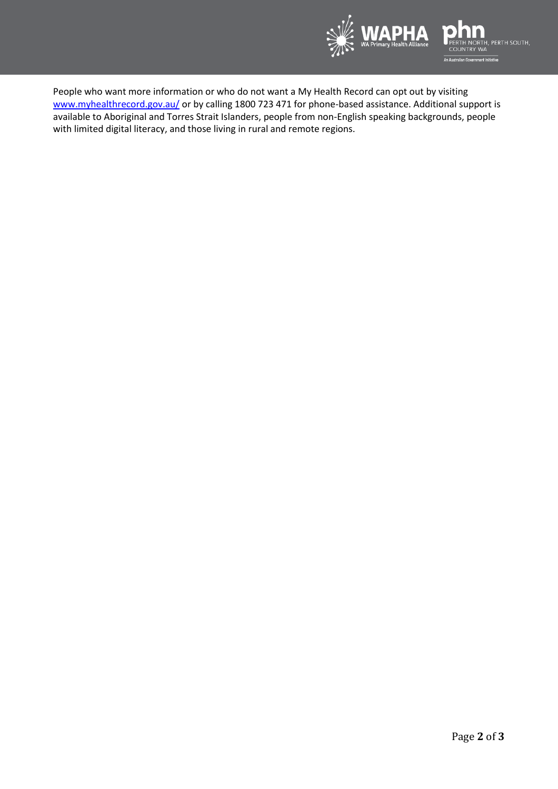

People who want more information or who do not want a My Health Record can opt out by visiting [www.myhealthrecord.gov.au/](http://www.myhealthrecord.gov.au/) or by calling 1800 723 471 for phone-based assistance. Additional support is available to Aboriginal and Torres Strait Islanders, people from non-English speaking backgrounds, people with limited digital literacy, and those living in rural and remote regions.